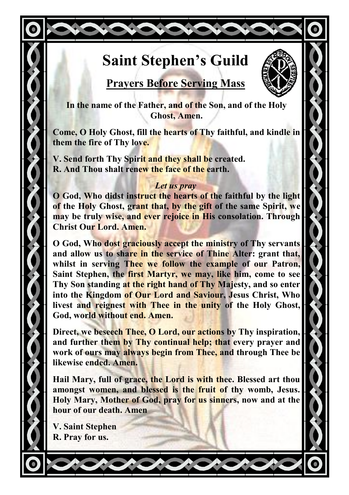# **Saint Stephen's Guild**



## **Prayers Before Serving Mass**

**In the name of the Father, and of the Son, and of the Holy Ghost, Amen.**

**Come, O Holy Ghost, fill the hearts of Thy faithful, and kindle in them the fire of Thy love.**

**V. Send forth Thy Spirit and they shall be created. R. And Thou shalt renew the face of the earth.**

#### *Let us pray*

**O God, Who didst instruct the hearts of the faithful by the light of the Holy Ghost, grant that, by the gift of the same Spirit, we may be truly wise, and ever rejoice in His consolation. Through Christ Our Lord. Amen.** 

**O God, Who dost graciously accept the ministry of Thy servants and allow us to share in the service of Thine Alter: grant that, whilst in serving Thee we follow the example of our Patron, Saint Stephen, the first Martyr, we may, like him, come to see Thy Son standing at the right hand of Thy Majesty, and so enter into the Kingdom of Our Lord and Saviour, Jesus Christ, Who livest and reignest with Thee in the unity of the Holy Ghost, God, world without end. Amen.**

**Direct, we beseech Thee, O Lord, our actions by Thy inspiration, and further them by Thy continual help; that every prayer and work of ours may always begin from Thee, and through Thee be likewise ended. Amen.**

**Hail Mary, full of grace, the Lord is with thee. Blessed art thou amongst women, and blessed is the fruit of thy womb, Jesus. Holy Mary, Mother of God, pray for us sinners, now and at the hour of our death. Amen**

**V. Saint Stephen R. Pray for us.**